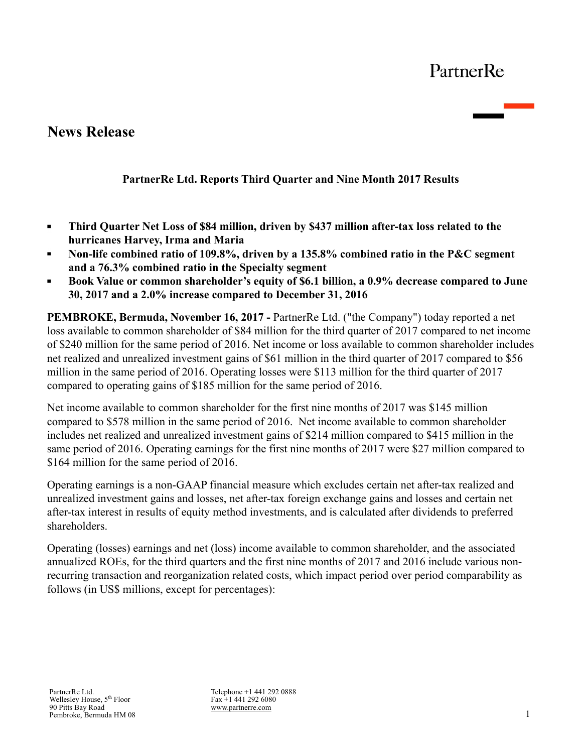# PartnerRe

# **News Release**

## **PartnerRe Ltd. Reports Third Quarter and Nine Month 2017 Results**

- **Third Quarter Net Loss of \$84 million, driven by \$437 million after-tax loss related to the**   $\blacksquare$ **hurricanes Harvey, Irma and Maria**
- **Non-life combined ratio of 109.8%, driven by a 135.8% combined ratio in the P&C segment**   $\blacksquare$ **and a 76.3% combined ratio in the Specialty segment**
- **Book Value or common shareholder's equity of \$6.1 billion, a 0.9% decrease compared to June 30, 2017 and a 2.0% increase compared to December 31, 2016**

**PEMBROKE, Bermuda, November 16, 2017 -** PartnerRe Ltd. ("the Company") today reported a net loss available to common shareholder of \$84 million for the third quarter of 2017 compared to net income of \$240 million for the same period of 2016. Net income or loss available to common shareholder includes net realized and unrealized investment gains of \$61 million in the third quarter of 2017 compared to \$56 million in the same period of 2016. Operating losses were \$113 million for the third quarter of 2017 compared to operating gains of \$185 million for the same period of 2016.

Net income available to common shareholder for the first nine months of 2017 was \$145 million compared to \$578 million in the same period of 2016. Net income available to common shareholder includes net realized and unrealized investment gains of \$214 million compared to \$415 million in the same period of 2016. Operating earnings for the first nine months of 2017 were \$27 million compared to \$164 million for the same period of 2016.

Operating earnings is a non-GAAP financial measure which excludes certain net after-tax realized and unrealized investment gains and losses, net after-tax foreign exchange gains and losses and certain net after-tax interest in results of equity method investments, and is calculated after dividends to preferred shareholders.

Operating (losses) earnings and net (loss) income available to common shareholder, and the associated annualized ROEs, for the third quarters and the first nine months of 2017 and 2016 include various nonrecurring transaction and reorganization related costs, which impact period over period comparability as follows (in US\$ millions, except for percentages):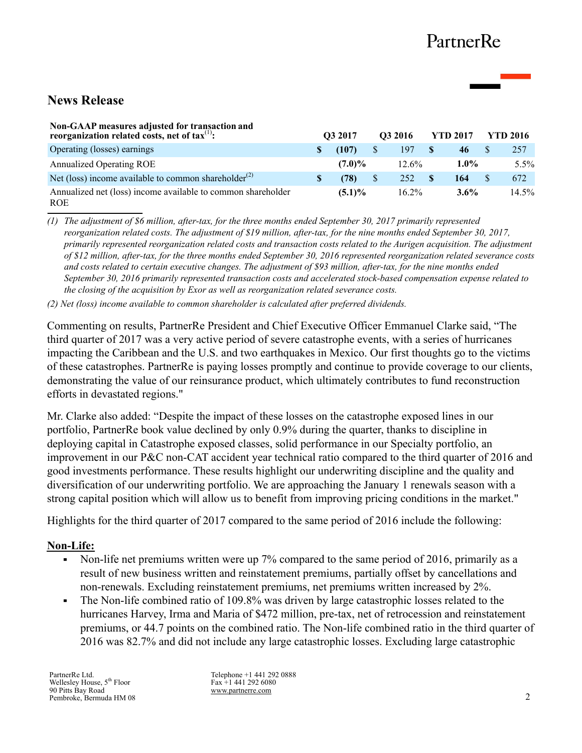# **News Release**

| Non-GAAP measures adjusted for transaction and<br>reorganization related costs, net of $\text{tax}^{(1)}$ : |  | O <sub>3</sub> 2017 |    | O3 2016  | <b>YTD 2017</b> | YTD 2016 |          |  |
|-------------------------------------------------------------------------------------------------------------|--|---------------------|----|----------|-----------------|----------|----------|--|
| Operating (losses) earnings                                                                                 |  | (107)               | S  | 197      | 46              |          | 257      |  |
| <b>Annualized Operating ROE</b>                                                                             |  | $(7.0)\%$           |    | $12.6\%$ | $1.0\%$         |          | $5.5\%$  |  |
| Net (loss) income available to common shareholder <sup>(2)</sup>                                            |  | (78)                | \$ | 252      | 164             |          | 672      |  |
| Annualized net (loss) income available to common shareholder<br><b>ROE</b>                                  |  | $(5.1)\%$           |    | $16.2\%$ | $3.6\%$         |          | $14.5\%$ |  |

*(1) The adjustment of \$6 million, after-tax, for the three months ended September 30, 2017 primarily represented reorganization related costs. The adjustment of \$19 million, after-tax, for the nine months ended September 30, 2017, primarily represented reorganization related costs and transaction costs related to the Aurigen acquisition. The adjustment of \$12 million, after-tax, for the three months ended September 30, 2016 represented reorganization related severance costs and costs related to certain executive changes. The adjustment of \$93 million, after-tax, for the nine months ended September 30, 2016 primarily represented transaction costs and accelerated stock-based compensation expense related to the closing of the acquisition by Exor as well as reorganization related severance costs.* 

*(2) Net (loss) income available to common shareholder is calculated after preferred dividends.*

Commenting on results, PartnerRe President and Chief Executive Officer Emmanuel Clarke said, "The third quarter of 2017 was a very active period of severe catastrophe events, with a series of hurricanes impacting the Caribbean and the U.S. and two earthquakes in Mexico. Our first thoughts go to the victims of these catastrophes. PartnerRe is paying losses promptly and continue to provide coverage to our clients, demonstrating the value of our reinsurance product, which ultimately contributes to fund reconstruction efforts in devastated regions."

Mr. Clarke also added: "Despite the impact of these losses on the catastrophe exposed lines in our portfolio, PartnerRe book value declined by only 0.9% during the quarter, thanks to discipline in deploying capital in Catastrophe exposed classes, solid performance in our Specialty portfolio, an improvement in our P&C non-CAT accident year technical ratio compared to the third quarter of 2016 and good investments performance. These results highlight our underwriting discipline and the quality and diversification of our underwriting portfolio. We are approaching the January 1 renewals season with a strong capital position which will allow us to benefit from improving pricing conditions in the market."

Highlights for the third quarter of 2017 compared to the same period of 2016 include the following:

### **Non-Life:**

- Non-life net premiums written were up 7% compared to the same period of 2016, primarily as a  $\blacksquare$ result of new business written and reinstatement premiums, partially offset by cancellations and non-renewals. Excluding reinstatement premiums, net premiums written increased by 2%.
- The Non-life combined ratio of 109.8% was driven by large catastrophic losses related to the  $\blacksquare$ hurricanes Harvey, Irma and Maria of \$472 million, pre-tax, net of retrocession and reinstatement premiums, or 44.7 points on the combined ratio. The Non-life combined ratio in the third quarter of 2016 was 82.7% and did not include any large catastrophic losses. Excluding large catastrophic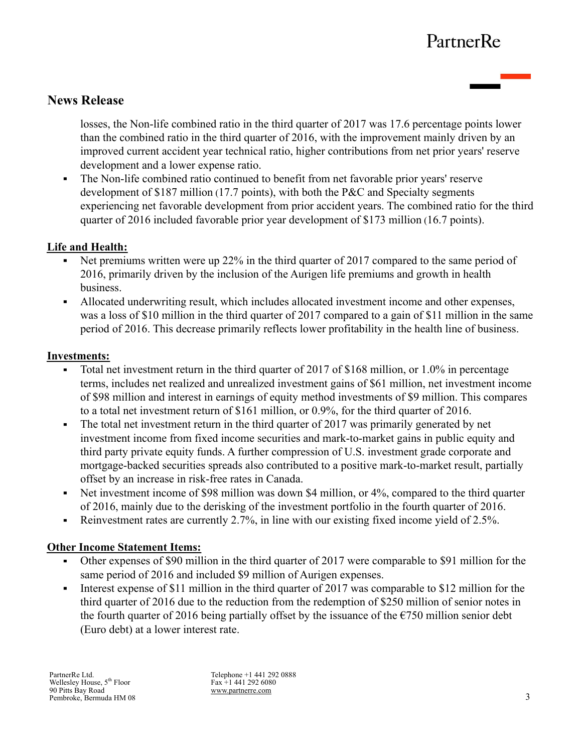# PartnerRe

## **News Release**

losses, the Non-life combined ratio in the third quarter of 2017 was 17.6 percentage points lower than the combined ratio in the third quarter of 2016, with the improvement mainly driven by an improved current accident year technical ratio, higher contributions from net prior years' reserve development and a lower expense ratio.

The Non-life combined ratio continued to benefit from net favorable prior years' reserve  $\blacksquare$ development of \$187 million (17.7 points), with both the P&C and Specialty segments experiencing net favorable development from prior accident years. The combined ratio for the third quarter of 2016 included favorable prior year development of \$173 million (16.7 points).

## **Life and Health:**

- Net premiums written were up 22% in the third quarter of 2017 compared to the same period of 2016, primarily driven by the inclusion of the Aurigen life premiums and growth in health business.
- Allocated underwriting result, which includes allocated investment income and other expenses, was a loss of \$10 million in the third quarter of 2017 compared to a gain of \$11 million in the same period of 2016. This decrease primarily reflects lower profitability in the health line of business.

### **Investments:**

- Total net investment return in the third quarter of 2017 of \$168 million, or 1.0% in percentage terms, includes net realized and unrealized investment gains of \$61 million, net investment income of \$98 million and interest in earnings of equity method investments of \$9 million. This compares to a total net investment return of \$161 million, or 0.9%, for the third quarter of 2016.
- The total net investment return in the third quarter of 2017 was primarily generated by net investment income from fixed income securities and mark-to-market gains in public equity and third party private equity funds. A further compression of U.S. investment grade corporate and mortgage-backed securities spreads also contributed to a positive mark-to-market result, partially offset by an increase in risk-free rates in Canada.
- $\blacksquare$ Net investment income of \$98 million was down \$4 million, or 4%, compared to the third quarter of 2016, mainly due to the derisking of the investment portfolio in the fourth quarter of 2016.
- Reinvestment rates are currently 2.7%, in line with our existing fixed income yield of 2.5%.  $\blacksquare$

## **Other Income Statement Items:**

- Other expenses of \$90 million in the third quarter of 2017 were comparable to \$91 million for the same period of 2016 and included \$9 million of Aurigen expenses.
- Interest expense of \$11 million in the third quarter of 2017 was comparable to \$12 million for the  $\blacksquare$ third quarter of 2016 due to the reduction from the redemption of \$250 million of senior notes in the fourth quarter of 2016 being partially offset by the issuance of the  $\epsilon$ 750 million senior debt (Euro debt) at a lower interest rate.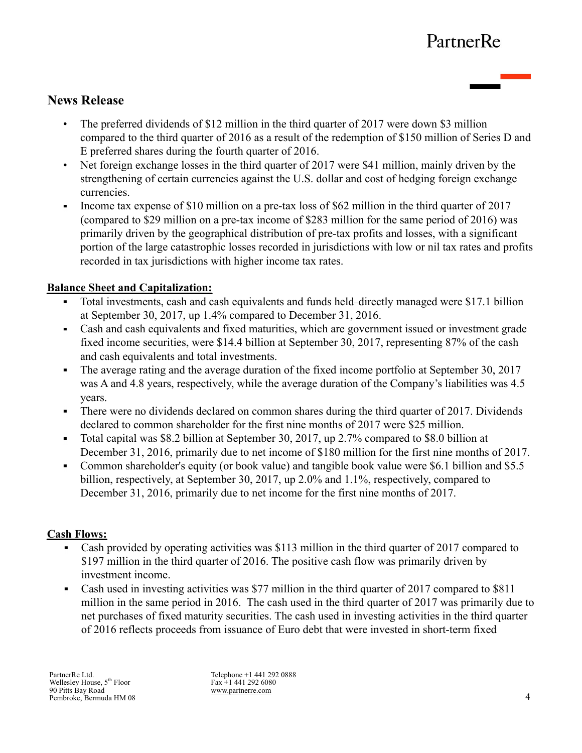## **News Release**

- The preferred dividends of \$12 million in the third quarter of 2017 were down \$3 million compared to the third quarter of 2016 as a result of the redemption of \$150 million of Series D and E preferred shares during the fourth quarter of 2016.
- Net foreign exchange losses in the third quarter of 2017 were \$41 million, mainly driven by the strengthening of certain currencies against the U.S. dollar and cost of hedging foreign exchange currencies.
- Income tax expense of \$10 million on a pre-tax loss of \$62 million in the third quarter of 2017 (compared to \$29 million on a pre-tax income of \$283 million for the same period of 2016) was primarily driven by the geographical distribution of pre-tax profits and losses, with a significant portion of the large catastrophic losses recorded in jurisdictions with low or nil tax rates and profits recorded in tax jurisdictions with higher income tax rates.

## **Balance Sheet and Capitalization:**

- Total investments, cash and cash equivalents and funds held–directly managed were \$17.1 billion at September 30, 2017, up 1.4% compared to December 31, 2016.
- $\blacksquare$ Cash and cash equivalents and fixed maturities, which are government issued or investment grade fixed income securities, were \$14.4 billion at September 30, 2017, representing 87% of the cash and cash equivalents and total investments.
- $\blacksquare$ The average rating and the average duration of the fixed income portfolio at September 30, 2017 was A and 4.8 years, respectively, while the average duration of the Company's liabilities was 4.5 years.
- There were no dividends declared on common shares during the third quarter of 2017. Dividends  $\blacksquare$ declared to common shareholder for the first nine months of 2017 were \$25 million.
- Total capital was \$8.2 billion at September 30, 2017, up 2.7% compared to \$8.0 billion at December 31, 2016, primarily due to net income of \$180 million for the first nine months of 2017.
- Common shareholder's equity (or book value) and tangible book value were \$6.1 billion and \$5.5 billion, respectively, at September 30, 2017, up 2.0% and 1.1%, respectively, compared to December 31, 2016, primarily due to net income for the first nine months of 2017.

## **Cash Flows:**

- Cash provided by operating activities was \$113 million in the third quarter of 2017 compared to \$197 million in the third quarter of 2016. The positive cash flow was primarily driven by investment income.
- Cash used in investing activities was \$77 million in the third quarter of 2017 compared to \$811  $\blacksquare$ million in the same period in 2016. The cash used in the third quarter of 2017 was primarily due to net purchases of fixed maturity securities. The cash used in investing activities in the third quarter of 2016 reflects proceeds from issuance of Euro debt that were invested in short-term fixed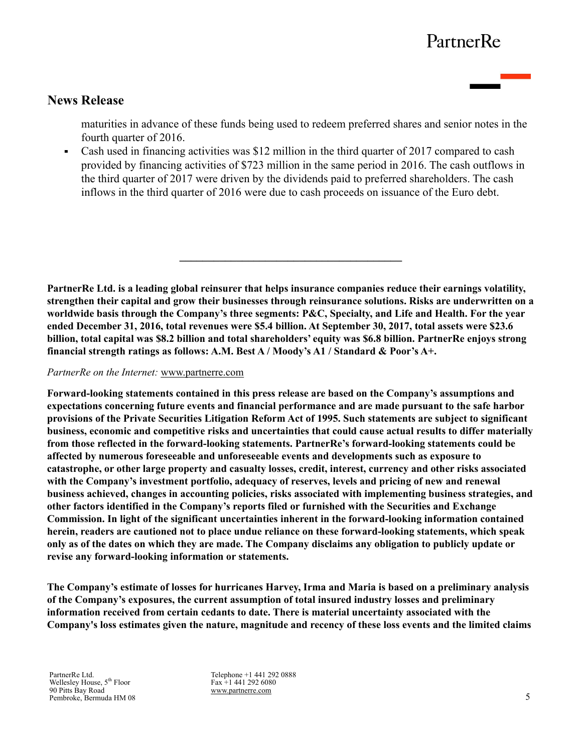# PartnerRe

## **News Release**

maturities in advance of these funds being used to redeem preferred shares and senior notes in the fourth quarter of 2016.

Cash used in financing activities was \$12 million in the third quarter of 2017 compared to cash  $\blacksquare$ provided by financing activities of \$723 million in the same period in 2016. The cash outflows in the third quarter of 2017 were driven by the dividends paid to preferred shareholders. The cash inflows in the third quarter of 2016 were due to cash proceeds on issuance of the Euro debt.

**PartnerRe Ltd. is a leading global reinsurer that helps insurance companies reduce their earnings volatility, strengthen their capital and grow their businesses through reinsurance solutions. Risks are underwritten on a worldwide basis through the Company's three segments: P&C, Specialty, and Life and Health. For the year ended December 31, 2016, total revenues were \$5.4 billion. At September 30, 2017, total assets were \$23.6 billion, total capital was \$8.2 billion and total shareholders' equity was \$6.8 billion. PartnerRe enjoys strong financial strength ratings as follows: A.M. Best A / Moody's A1 / Standard & Poor's A+.** 

 $\mathcal{L}=\{1,2,3,4,5\}$ 

#### *PartnerRe on the Internet:* www.partnerre.com

**Forward-looking statements contained in this press release are based on the Company's assumptions and expectations concerning future events and financial performance and are made pursuant to the safe harbor provisions of the Private Securities Litigation Reform Act of 1995. Such statements are subject to significant business, economic and competitive risks and uncertainties that could cause actual results to differ materially from those reflected in the forward-looking statements. PartnerRe's forward-looking statements could be affected by numerous foreseeable and unforeseeable events and developments such as exposure to catastrophe, or other large property and casualty losses, credit, interest, currency and other risks associated with the Company's investment portfolio, adequacy of reserves, levels and pricing of new and renewal business achieved, changes in accounting policies, risks associated with implementing business strategies, and other factors identified in the Company's reports filed or furnished with the Securities and Exchange Commission. In light of the significant uncertainties inherent in the forward-looking information contained herein, readers are cautioned not to place undue reliance on these forward-looking statements, which speak only as of the dates on which they are made. The Company disclaims any obligation to publicly update or revise any forward-looking information or statements.**

**The Company's estimate of losses for hurricanes Harvey, Irma and Maria is based on a preliminary analysis of the Company's exposures, the current assumption of total insured industry losses and preliminary information received from certain cedants to date. There is material uncertainty associated with the Company's loss estimates given the nature, magnitude and recency of these loss events and the limited claims** 

PartnerRe Ltd. Wellesley House, 5<sup>th</sup> Floor 90 Pitts Bay Road Pembroke, Bermuda HM 08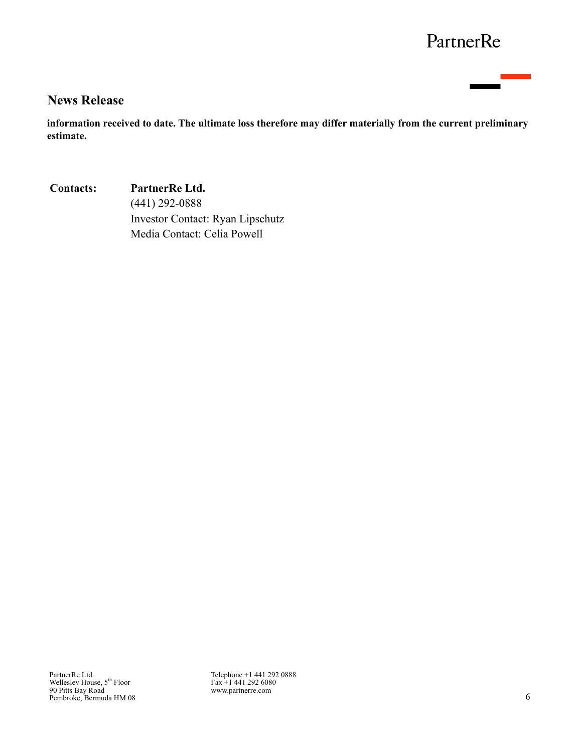# PartnerRe

## **News Release**

**information received to date. The ultimate loss therefore may differ materially from the current preliminary estimate.**

**Contacts: PartnerRe Ltd.** (441) 292-0888 Investor Contact: Ryan Lipschutz Media Contact: Celia Powell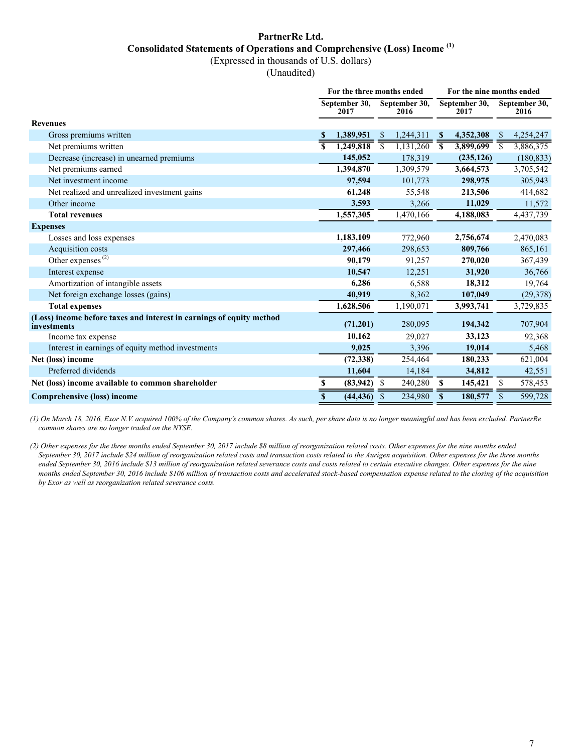## **PartnerRe Ltd. Consolidated Statements of Operations and Comprehensive (Loss) Income (1)**

(Expressed in thousands of U.S. dollars)

(Unaudited)

|                                                                                     | For the three months ended |                       |                          |                       |               | For the nine months ended |                |                       |  |  |  |
|-------------------------------------------------------------------------------------|----------------------------|-----------------------|--------------------------|-----------------------|---------------|---------------------------|----------------|-----------------------|--|--|--|
|                                                                                     |                            | September 30,<br>2017 |                          | September 30,<br>2016 |               | September 30,<br>2017     |                | September 30,<br>2016 |  |  |  |
| <b>Revenues</b>                                                                     |                            |                       |                          |                       |               |                           |                |                       |  |  |  |
| Gross premiums written                                                              |                            | 1,389,951             | -S                       | 1,244,311             | <sup>\$</sup> | 4,352,308                 | <sup>S</sup>   | 4,254,247             |  |  |  |
| Net premiums written                                                                |                            | 1,249,818             | $\overline{\mathcal{S}}$ | 1,131,260             | S             | 3,899,699                 | $\overline{s}$ | 3,886,375             |  |  |  |
| Decrease (increase) in unearned premiums                                            |                            | 145,052               |                          | 178,319               |               | (235, 126)                |                | (180, 833)            |  |  |  |
| Net premiums earned                                                                 |                            | 1,394,870             |                          | 1,309,579             |               | 3,664,573                 |                | 3,705,542             |  |  |  |
| Net investment income                                                               |                            | 97,594                |                          | 101,773               |               | 298,975                   |                | 305,943               |  |  |  |
| Net realized and unrealized investment gains                                        |                            | 61,248                |                          | 55,548                |               | 213,506                   |                | 414,682               |  |  |  |
| Other income                                                                        |                            | 3,593                 |                          | 3,266                 |               | 11,029                    |                | 11,572                |  |  |  |
| <b>Total revenues</b>                                                               |                            | 1,557,305             |                          | 1,470,166             |               | 4,188,083                 |                | 4,437,739             |  |  |  |
| <b>Expenses</b>                                                                     |                            |                       |                          |                       |               |                           |                |                       |  |  |  |
| Losses and loss expenses                                                            |                            | 1,183,109             |                          | 772,960               |               | 2,756,674                 |                | 2,470,083             |  |  |  |
| Acquisition costs                                                                   |                            | 297,466               |                          | 298,653               |               | 809,766                   |                | 865,161               |  |  |  |
| Other expenses $^{(2)}$                                                             |                            | 90,179                |                          | 91,257                |               | 270,020                   |                | 367,439               |  |  |  |
| Interest expense                                                                    |                            | 10,547                |                          | 12,251                |               | 31,920                    |                | 36,766                |  |  |  |
| Amortization of intangible assets                                                   |                            | 6,286                 |                          | 6,588                 |               | 18,312                    |                | 19,764                |  |  |  |
| Net foreign exchange losses (gains)                                                 |                            | 40,919                |                          | 8,362                 |               | 107,049                   |                | (29, 378)             |  |  |  |
| <b>Total expenses</b>                                                               |                            | 1,628,506             |                          | 1,190,071             |               | 3,993,741                 |                | 3,729,835             |  |  |  |
| (Loss) income before taxes and interest in earnings of equity method<br>investments |                            | (71, 201)             |                          | 280,095               |               | 194,342                   |                | 707,904               |  |  |  |
| Income tax expense                                                                  |                            | 10,162                |                          | 29,027                |               | 33,123                    |                | 92,368                |  |  |  |
| Interest in earnings of equity method investments                                   |                            | 9,025                 |                          | 3,396                 |               | 19,014                    |                | 5,468                 |  |  |  |
| Net (loss) income                                                                   |                            | (72, 338)             |                          | 254,464               |               | 180,233                   |                | 621,004               |  |  |  |
| Preferred dividends                                                                 |                            | 11,604                |                          | 14,184                |               | 34,812                    |                | 42,551                |  |  |  |
| Net (loss) income available to common shareholder                                   | \$                         | (83, 942)             | - \$                     | 240,280               | S             | 145,421                   | \$             | 578,453               |  |  |  |
| Comprehensive (loss) income                                                         | \$                         | (44, 436)             | S                        | 234,980               | S             | 180,577                   | \$             | 599,728               |  |  |  |

*(1) On March 18, 2016, Exor N.V. acquired 100% of the Company's common shares. As such, per share data is no longer meaningful and has been excluded. PartnerRe common shares are no longer traded on the NYSE.* 

*(2) Other expenses for the three months ended September 30, 2017 include \$8 million of reorganization related costs. Other expenses for the nine months ended September 30, 2017 include \$24 million of reorganization related costs and transaction costs related to the Aurigen acquisition. Other expenses for the three months ended September 30, 2016 include \$13 million of reorganization related severance costs and costs related to certain executive changes. Other expenses for the nine months ended September 30, 2016 include \$106 million of transaction costs and accelerated stock-based compensation expense related to the closing of the acquisition by Exor as well as reorganization related severance costs.*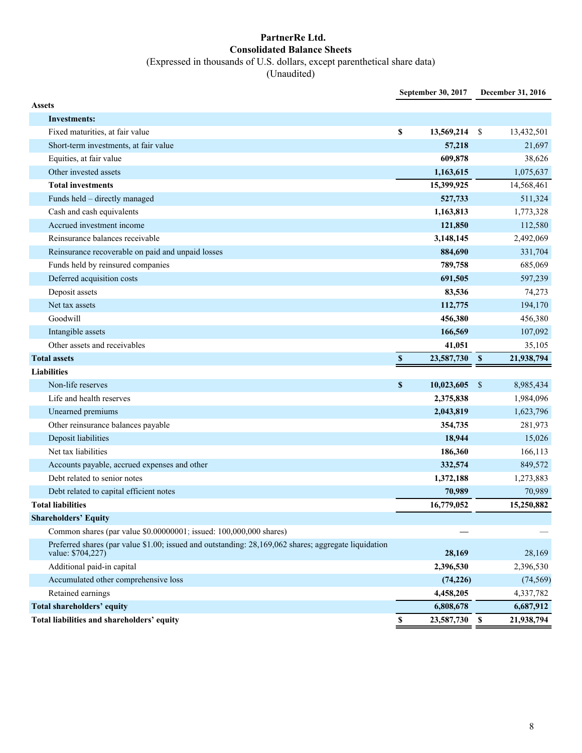#### **PartnerRe Ltd. Consolidated Balance Sheets** (Expressed in thousands of U.S. dollars, except parenthetical share data)

(Unaudited)

|                                                                                                                           |                           | September 30, 2017 |            | December 31, 2016 |
|---------------------------------------------------------------------------------------------------------------------------|---------------------------|--------------------|------------|-------------------|
| <b>Assets</b>                                                                                                             |                           |                    |            |                   |
| <b>Investments:</b>                                                                                                       |                           |                    |            |                   |
| Fixed maturities, at fair value                                                                                           | \$                        | 13,569,214         | -S         | 13,432,501        |
| Short-term investments, at fair value                                                                                     |                           | 57,218             |            | 21,697            |
| Equities, at fair value                                                                                                   |                           | 609,878            |            | 38,626            |
| Other invested assets                                                                                                     |                           | 1,163,615          |            | 1,075,637         |
| <b>Total investments</b>                                                                                                  |                           | 15,399,925         |            | 14,568,461        |
| Funds held - directly managed                                                                                             |                           | 527,733            |            | 511,324           |
| Cash and cash equivalents                                                                                                 |                           | 1,163,813          |            | 1,773,328         |
| Accrued investment income                                                                                                 |                           | 121,850            |            | 112,580           |
| Reinsurance balances receivable                                                                                           |                           | 3,148,145          |            | 2,492,069         |
| Reinsurance recoverable on paid and unpaid losses                                                                         |                           | 884,690            |            | 331,704           |
| Funds held by reinsured companies                                                                                         |                           | 789,758            |            | 685,069           |
| Deferred acquisition costs                                                                                                |                           | 691,505            |            | 597,239           |
| Deposit assets                                                                                                            |                           | 83,536             |            | 74,273            |
| Net tax assets                                                                                                            |                           | 112,775            |            | 194,170           |
| Goodwill                                                                                                                  |                           | 456,380            |            | 456,380           |
| Intangible assets                                                                                                         |                           | 166,569            |            | 107,092           |
| Other assets and receivables                                                                                              |                           | 41,051             |            | 35,105            |
| <b>Total assets</b>                                                                                                       | $\boldsymbol{\mathsf{s}}$ | 23,587,730 \$      |            | 21,938,794        |
| <b>Liabilities</b>                                                                                                        |                           |                    |            |                   |
| Non-life reserves                                                                                                         | $\mathbb S$               | 10,023,605         | $\sqrt{3}$ | 8,985,434         |
| Life and health reserves                                                                                                  |                           | 2,375,838          |            | 1,984,096         |
| Unearned premiums                                                                                                         |                           | 2,043,819          |            | 1,623,796         |
| Other reinsurance balances payable                                                                                        |                           | 354,735            |            | 281,973           |
| Deposit liabilities                                                                                                       |                           | 18,944             |            | 15,026            |
| Net tax liabilities                                                                                                       |                           | 186,360            |            | 166,113           |
| Accounts payable, accrued expenses and other                                                                              |                           | 332,574            |            | 849,572           |
| Debt related to senior notes                                                                                              |                           | 1,372,188          |            | 1,273,883         |
| Debt related to capital efficient notes                                                                                   |                           | 70,989             |            | 70,989            |
| <b>Total liabilities</b>                                                                                                  |                           | 16,779,052         |            | 15,250,882        |
| <b>Shareholders' Equity</b>                                                                                               |                           |                    |            |                   |
| Common shares (par value \$0.00000001; issued: 100,000,000 shares)                                                        |                           |                    |            |                   |
| Preferred shares (par value \$1.00; issued and outstanding: 28,169,062 shares; aggregate liquidation<br>value: \$704,227) |                           | 28,169             |            | 28,169            |
| Additional paid-in capital                                                                                                |                           | 2,396,530          |            | 2,396,530         |
| Accumulated other comprehensive loss                                                                                      |                           | (74, 226)          |            | (74, 569)         |
| Retained earnings                                                                                                         |                           | 4,458,205          |            | 4,337,782         |
| Total shareholders' equity                                                                                                |                           | 6,808,678          |            | 6,687,912         |
| Total liabilities and shareholders' equity                                                                                | $\mathbb S$               | 23,587,730         | - \$       | 21,938,794        |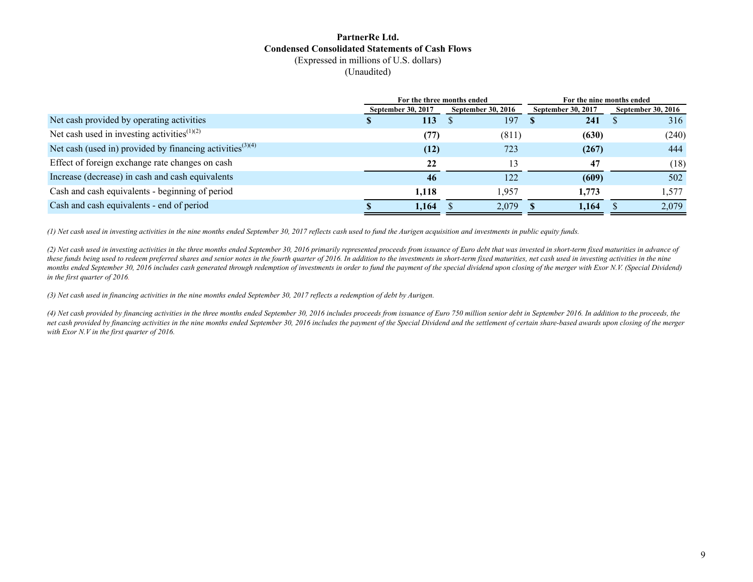#### **PartnerRe Ltd. Condensed Consolidated Statements of Cash Flows** (Expressed in millions of U.S. dollars) (Unaudited)

|                                                                       | For the three months ended |                           |                           | For the nine months ended |  |  |
|-----------------------------------------------------------------------|----------------------------|---------------------------|---------------------------|---------------------------|--|--|
|                                                                       | <b>September 30, 2017</b>  | <b>September 30, 2016</b> | <b>September 30, 2017</b> | <b>September 30, 2016</b> |  |  |
| Net cash provided by operating activities                             | 113                        | 197                       | 241                       | 316                       |  |  |
| Net cash used in investing activities <sup><math>(1)(2)</math></sup>  | (77)                       | (811)                     | (630)                     | (240)                     |  |  |
| Net cash (used in) provided by financing activities <sup>(3)(4)</sup> | (12)                       | 723                       | (267)                     | 444                       |  |  |
| Effect of foreign exchange rate changes on cash                       | 22                         | 13                        | 47                        | (18)                      |  |  |
| Increase (decrease) in cash and cash equivalents                      | 46                         | 122                       | (609)                     | 502                       |  |  |
| Cash and cash equivalents - beginning of period                       | 1,118                      | 1,957                     | 1,773                     | 1,577                     |  |  |
| Cash and cash equivalents - end of period                             | 1,164                      | 2,079                     | 1,164                     | 2,079                     |  |  |

*(1) Net cash used in investing activities in the nine months ended September 30, 2017 reflects cash used to fund the Aurigen acquisition and investments in public equity funds.* 

*(2) Net cash used in investing activities in the three months ended September 30, 2016 primarily represented proceeds from issuance of Euro debt that was invested in short-term fixed maturities in advance of these funds being used to redeem preferred shares and senior notes in the fourth quarter of 2016. In addition to the investments in short-term fixed maturities, net cash used in investing activities in the nine*  months ended September 30, 2016 includes cash generated through redemption of investments in order to fund the payment of the special dividend upon closing of the merger with Exor N.V. (Special Dividend) *in the first quarter of 2016.*

*(3) Net cash used in financing activities in the nine months ended September 30, 2017 reflects a redemption of debt by Aurigen.* 

*(4) Net cash provided by financing activities in the three months ended September 30, 2016 includes proceeds from issuance of Euro 750 million senior debt in September 2016. In addition to the proceeds, the net cash provided by financing activities in the nine months ended September 30, 2016 includes the payment of the Special Dividend and the settlement of certain share-based awards upon closing of the merger with Exor N.V in the first quarter of 2016.*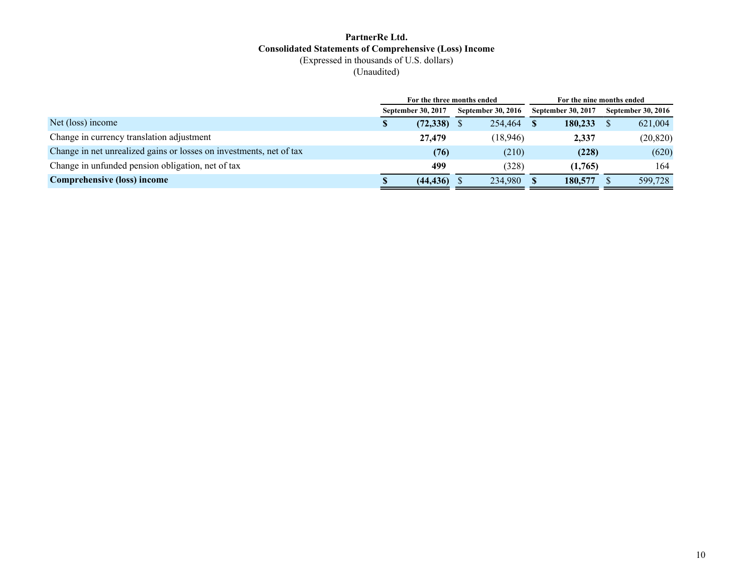#### **PartnerRe Ltd. Consolidated Statements of Comprehensive (Loss) Income** (Expressed in thousands of U.S. dollars) (Unaudited)

|                                                                     |                           |           | For the three months ended |                           | For the nine months ended |
|---------------------------------------------------------------------|---------------------------|-----------|----------------------------|---------------------------|---------------------------|
|                                                                     | <b>September 30, 2017</b> |           | <b>September 30, 2016</b>  | <b>September 30, 2017</b> | <b>September 30, 2016</b> |
| Net (loss) income                                                   | S                         | (72, 338) | 254,464                    | 180,233                   | 621,004                   |
| Change in currency translation adjustment                           |                           | 27,479    | (18,946)                   | 2,337                     | (20, 820)                 |
| Change in net unrealized gains or losses on investments, net of tax |                           | (76)      | (210)                      | (228)                     | (620)                     |
| Change in unfunded pension obligation, net of tax                   |                           | 499       | (328)                      | (1,765)                   | 164                       |
| <b>Comprehensive (loss) income</b>                                  |                           | (44, 436) | 234.980                    | 180,577                   | 599.728                   |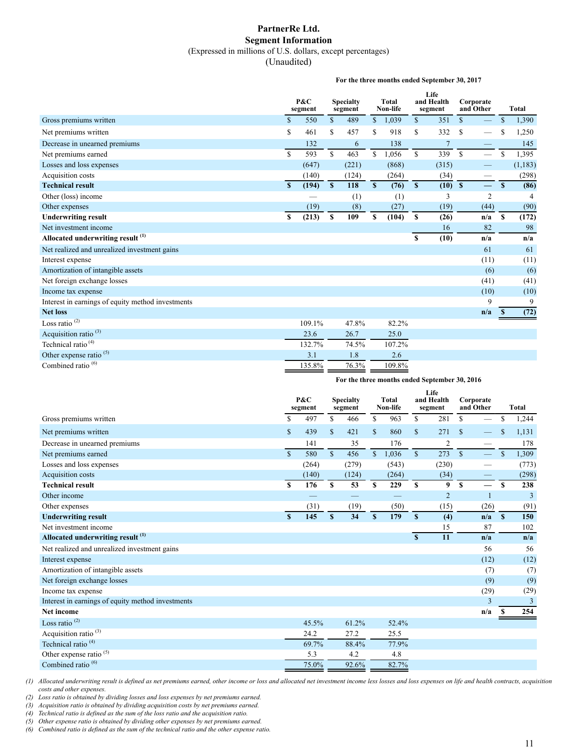#### **PartnerRe Ltd. Segment Information** (Expressed in millions of U.S. dollars, except percentages)

(Unaudited)

**For the three months ended September 30, 2017**

|                                                   |             | P&C<br>segment |              | <b>Specialty</b><br>segment |              | Total<br>Non-life |              | Life<br>and Health<br>segment |             | Corporate<br>and Other |               | Total   |
|---------------------------------------------------|-------------|----------------|--------------|-----------------------------|--------------|-------------------|--------------|-------------------------------|-------------|------------------------|---------------|---------|
| Gross premiums written                            | \$          | 550            | \$           | 489                         | \$           | 1,039             | \$           | 351                           | \$          |                        | \$            | 1,390   |
| Net premiums written                              | $\mathbf S$ | 461            | \$           | 457                         | S            | 918               | \$.          | 332                           | \$          |                        | S             | 1,250   |
| Decrease in unearned premiums                     |             | 132            |              | 6                           |              | 138               |              | $\overline{7}$                |             |                        |               | 145     |
| Net premiums earned                               | $\mathbf S$ | 593            | \$           | 463                         | $\mathbb{S}$ | 1,056             | $\mathbb{S}$ | 339                           | $\mathbf S$ |                        | <sup>\$</sup> | 1,395   |
| Losses and loss expenses                          |             | (647)          |              | (221)                       |              | (868)             |              | (315)                         |             |                        |               | (1,183) |
| Acquisition costs                                 |             | (140)          |              | (124)                       |              | (264)             |              | (34)                          |             |                        |               | (298)   |
| <b>Technical result</b>                           | S           | (194)          | $\mathbf{s}$ | 118                         | $\mathbf{s}$ | (76)              | $\mathbf{s}$ | $(10)$ \$                     |             | $\equiv$               | S.            | (86)    |
| Other (loss) income                               |             |                |              | (1)                         |              | (1)               |              | 3                             |             | $\overline{2}$         |               | 4       |
| Other expenses                                    |             | (19)           |              | (8)                         |              | (27)              |              | (19)                          |             | (44)                   |               | (90)    |
| <b>Underwriting result</b>                        | \$          | (213)          | S            | 109                         | \$           | (104)             | -S           | (26)                          |             | n/a                    | <sup>S</sup>  | (172)   |
| Net investment income                             |             |                |              |                             |              |                   |              | 16                            |             | 82                     |               | 98      |
| Allocated underwriting result <sup>(1)</sup>      |             |                |              |                             |              |                   | \$           | (10)                          |             | n/a                    |               | n/a     |
| Net realized and unrealized investment gains      |             |                |              |                             |              |                   |              |                               |             | 61                     |               | 61      |
| Interest expense                                  |             |                |              |                             |              |                   |              |                               |             | (11)                   |               | (11)    |
| Amortization of intangible assets                 |             |                |              |                             |              |                   |              |                               |             | (6)                    |               | (6)     |
| Net foreign exchange losses                       |             |                |              |                             |              |                   |              |                               |             | (41)                   |               | (41)    |
| Income tax expense                                |             |                |              |                             |              |                   |              |                               |             | (10)                   |               | (10)    |
| Interest in earnings of equity method investments |             |                |              |                             |              |                   |              |                               |             | 9                      |               | 9       |
| <b>Net loss</b>                                   |             |                |              |                             |              |                   |              |                               |             | n/a                    |               | (72)    |
| Loss ratio $(2)$                                  |             | 109.1%         |              | 47.8%                       |              | 82.2%             |              |                               |             |                        |               |         |
| Acquisition ratio <sup>(3)</sup>                  |             | 23.6           |              | 26.7                        |              | 25.0              |              |                               |             |                        |               |         |
| Technical ratio <sup>(4)</sup>                    |             | 132.7%         |              | 74.5%                       |              | 107.2%            |              |                               |             |                        |               |         |
| Other expense ratio <sup>(5)</sup>                |             | 3.1            |              | 1.8                         |              | 2.6               |              |                               |             |                        |               |         |
| Combined ratio <sup>(6)</sup>                     |             | 135.8%         |              | 76.3%                       |              | 109.8%            |              |                               |             |                        |               |         |

#### **For the three months ended September 30, 2016**

|                                                   |               | P&C<br>segment |               | <b>Specialty</b><br>segment |              | Total<br>Non-life |              | Life<br>and Health<br>segment |               | Corporate<br>and Other | <b>Total</b>  |                |
|---------------------------------------------------|---------------|----------------|---------------|-----------------------------|--------------|-------------------|--------------|-------------------------------|---------------|------------------------|---------------|----------------|
| Gross premiums written                            | \$            | 497            | \$            | 466                         | \$           | 963               | \$           | 281                           | S             |                        | S             | 1,244          |
| Net premiums written                              | \$            | 439            | $\mathcal{S}$ | 421                         | \$           | 860               | $\mathbb{S}$ | 271                           | $\mathcal{S}$ |                        | \$            | 1,131          |
| Decrease in unearned premiums                     |               | 141            |               | 35                          |              | 176               |              | $\overline{2}$                |               |                        |               | 178            |
| Net premiums earned                               | $\mathcal{S}$ | 580            | $\mathbb{S}$  | 456                         | $\mathbb{S}$ | 1,036             | $\mathbf S$  | 273                           | $\mathbb{S}$  |                        | <sup>\$</sup> | 1,309          |
| Losses and loss expenses                          |               | (264)          |               | (279)                       |              | (543)             |              | (230)                         |               |                        |               | (773)          |
| Acquisition costs                                 |               | (140)          |               | (124)                       |              | (264)             |              | (34)                          |               |                        |               | (298)          |
| <b>Technical result</b>                           | S             | 176            | $\mathbf{s}$  | 53                          | S            | 229               | S            | 9                             | S             |                        | S             | 238            |
| Other income                                      |               |                |               |                             |              |                   |              | $\overline{2}$                |               |                        |               | 3              |
| Other expenses                                    |               | (31)           |               | (19)                        |              | (50)              |              | (15)                          |               | (26)                   |               | (91)           |
| <b>Underwriting result</b>                        | S             | 145            | S             | 34                          | $\mathbf{s}$ | 179               | $\mathbf{s}$ | (4)                           |               | n/a                    | $\mathbf{s}$  | 150            |
| Net investment income                             |               |                |               |                             |              |                   |              | 15                            |               | 87                     |               | 102            |
| Allocated underwriting result <sup>(1)</sup>      |               |                |               |                             |              |                   | $\mathbf{s}$ | 11                            |               | n/a                    |               | n/a            |
| Net realized and unrealized investment gains      |               |                |               |                             |              |                   |              |                               |               | 56                     |               | 56             |
| Interest expense                                  |               |                |               |                             |              |                   |              |                               |               | (12)                   |               | (12)           |
| Amortization of intangible assets                 |               |                |               |                             |              |                   |              |                               |               | (7)                    |               | (7)            |
| Net foreign exchange losses                       |               |                |               |                             |              |                   |              |                               |               | (9)                    |               | (9)            |
| Income tax expense                                |               |                |               |                             |              |                   |              |                               |               | (29)                   |               | (29)           |
| Interest in earnings of equity method investments |               |                |               |                             |              |                   |              |                               |               | 3                      |               | $\overline{3}$ |
| <b>Net income</b>                                 |               |                |               |                             |              |                   |              |                               |               | n/a                    |               | 254            |
| Loss ratio $(2)$                                  |               | 45.5%          |               | 61.2%                       |              | 52.4%             |              |                               |               |                        |               |                |
| Acquisition ratio <sup>(3)</sup>                  |               | 24.2           |               | 27.2                        |              | 25.5              |              |                               |               |                        |               |                |
| Technical ratio <sup>(4)</sup>                    |               | 69.7%          |               | 88.4%                       |              | 77.9%             |              |                               |               |                        |               |                |
| Other expense ratio <sup>(5)</sup>                |               | 5.3            |               | 4.2                         |              | 4.8               |              |                               |               |                        |               |                |
| Combined ratio <sup>(6)</sup>                     |               | 75.0%          |               | 92.6%                       |              | 82.7%             |              |                               |               |                        |               |                |

*(1) Allocated underwriting result is defined as net premiums earned, other income or loss and allocated net investment income less losses and loss expenses on life and health contracts, acquisition costs and other expenses.*

*(2) Loss ratio is obtained by dividing losses and loss expenses by net premiums earned. (3) Acquisition ratio is obtained by dividing acquisition costs by net premiums earned.*

*(4) Technical ratio is defined as the sum of the loss ratio and the acquisition ratio.*

*(5) Other expense ratio is obtained by dividing other expenses by net premiums earned.*

*(6) Combined ratio is defined as the sum of the technical ratio and the other expense ratio.*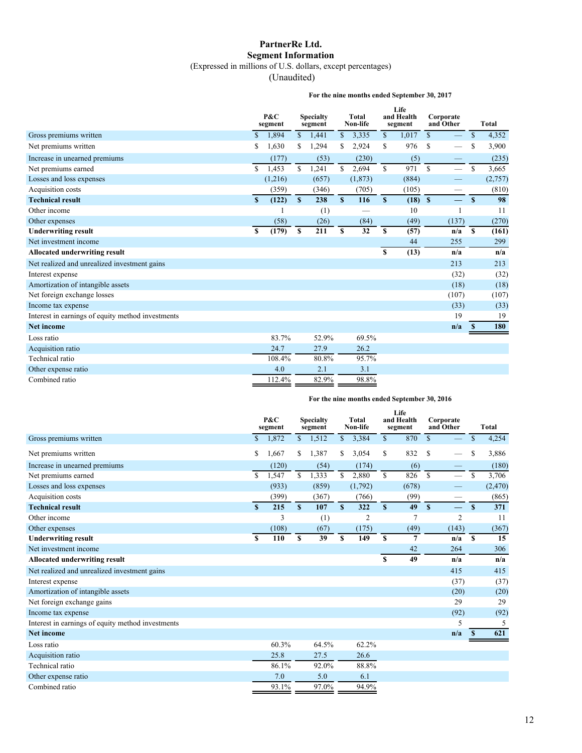## **PartnerRe Ltd. Segment Information**

(Expressed in millions of U.S. dollars, except percentages)

(Unaudited)

#### **For the nine months ended September 30, 2017**

|                                                   |               | P&C<br>segment |              | <b>Specialty</b><br>segment |              | Total<br>Non-life |             | Life<br>and Health<br>segment |              | Corporate<br>and Other   |               | Total   |
|---------------------------------------------------|---------------|----------------|--------------|-----------------------------|--------------|-------------------|-------------|-------------------------------|--------------|--------------------------|---------------|---------|
| Gross premiums written                            | <sup>\$</sup> | 1,894          | $\mathbb{S}$ | 1,441                       | $\mathbb{S}$ | 3,335             | $\mathbf S$ | 1,017                         | $\mathbb{S}$ |                          | $\mathbb{S}$  | 4,352   |
| Net premiums written                              | S             | 1,630          | \$.          | 1,294                       | \$.          | 2,924             | \$          | 976                           | $\mathbf S$  |                          | \$            | 3,900   |
| Increase in unearned premiums                     |               | (177)          |              | (53)                        |              | (230)             |             | (5)                           |              | -                        |               | (235)   |
| Net premiums earned                               | \$            | 1,453          | \$           | 1,241                       | $\mathbf S$  | 2,694             | $\mathbf S$ | 971                           | $\mathbb{S}$ | $\overline{\phantom{0}}$ | S             | 3,665   |
| Losses and loss expenses                          |               | (1,216)        |              | (657)                       |              | (1, 873)          |             | (884)                         |              |                          |               | (2,757) |
| Acquisition costs                                 |               | (359)          |              | (346)                       |              | (705)             |             | (105)                         |              |                          |               | (810)   |
| <b>Technical result</b>                           | S             | (122)          | S.           | 238                         | S            | 116               | S           | $(18)$ \$                     |              | $\equiv$                 | $\mathbf{s}$  | 98      |
| Other income                                      |               |                |              | (1)                         |              |                   |             | 10                            |              |                          |               | 11      |
| Other expenses                                    |               | (58)           |              | (26)                        |              | (84)              |             | (49)                          |              | (137)                    |               | (270)   |
| <b>Underwriting result</b>                        | S             | (179)          | \$           | 211                         | \$           | 32                | S           | (57)                          |              | n/a                      | S             | (161)   |
| Net investment income                             |               |                |              |                             |              |                   |             | 44                            |              | 255                      |               | 299     |
| <b>Allocated underwriting result</b>              |               |                |              |                             |              |                   | \$          | (13)                          |              | n/a                      |               | n/a     |
| Net realized and unrealized investment gains      |               |                |              |                             |              |                   |             |                               |              | 213                      |               | 213     |
| Interest expense                                  |               |                |              |                             |              |                   |             |                               |              | (32)                     |               | (32)    |
| Amortization of intangible assets                 |               |                |              |                             |              |                   |             |                               |              | (18)                     |               | (18)    |
| Net foreign exchange losses                       |               |                |              |                             |              |                   |             |                               |              | (107)                    |               | (107)   |
| Income tax expense                                |               |                |              |                             |              |                   |             |                               |              | (33)                     |               | (33)    |
| Interest in earnings of equity method investments |               |                |              |                             |              |                   |             |                               |              | 19                       |               | 19      |
| <b>Net income</b>                                 |               |                |              |                             |              |                   |             |                               |              | n/a                      | <sup>\$</sup> | 180     |
| Loss ratio                                        |               | 83.7%          |              | 52.9%                       |              | 69.5%             |             |                               |              |                          |               |         |
| Acquisition ratio                                 |               | 24.7           |              | 27.9                        |              | 26.2              |             |                               |              |                          |               |         |
| Technical ratio                                   |               | 108.4%         |              | 80.8%                       |              | 95.7%             |             |                               |              |                          |               |         |
| Other expense ratio                               |               | 4.0            |              | 2.1                         |              | 3.1               |             |                               |              |                          |               |         |
| Combined ratio                                    |               | 112.4%         |              | 82.9%                       |              | 98.8%             |             |                               |              |                          |               |         |

**For the nine months ended September 30, 2016**

|                                                   |               | P&C<br>segment |    | <b>Specialty</b><br>segment |                | <b>Total</b><br>Non-life |              | Life<br>and Health<br>segment |              | Corporate<br>and Other |              | <b>Total</b> |
|---------------------------------------------------|---------------|----------------|----|-----------------------------|----------------|--------------------------|--------------|-------------------------------|--------------|------------------------|--------------|--------------|
| Gross premiums written                            | <sup>\$</sup> | 1,872          |    | \$1,512                     | $\mathbb{S}$   | 3,384                    | $\mathbb{S}$ | 870                           | \$           |                        | \$           | 4,254        |
| Net premiums written                              | \$            | 1,667          | \$ | 1,387                       | \$             | 3,054                    | \$           | 832                           | \$           |                        | S            | 3,886        |
| Increase in unearned premiums                     |               | (120)          |    | (54)                        |                | (174)                    |              | (6)                           |              |                        |              | (180)        |
| Net premiums earned                               | <sup>\$</sup> | 1,547          | \$ | 1,333                       | $\mathbb{S}^-$ | 2,880                    | $\mathbb{S}$ | 826                           | $\mathbb{S}$ |                        | \$           | 3,706        |
| Losses and loss expenses                          |               | (933)          |    | (859)                       |                | (1,792)                  |              | (678)                         |              |                        |              | (2,470)      |
| Acquisition costs                                 |               | (399)          |    | (367)                       |                | (766)                    |              | (99)                          |              |                        |              | (865)        |
| <b>Technical result</b>                           | S             | 215            | S  | 107                         | S              | 322                      | S            | 49                            | $\mathbf{s}$ |                        | $\mathbf{s}$ | 371          |
| Other income                                      |               | 3              |    | (1)                         |                | $\overline{2}$           |              | $\overline{7}$                |              | 2                      |              | 11           |
| Other expenses                                    |               | (108)          |    | (67)                        |                | (175)                    |              | (49)                          |              | (143)                  |              | (367)        |
| <b>Underwriting result</b>                        | S             | 110            | S  | 39                          | S              | 149                      | S            | 7                             |              | n/a                    | $\mathbf{s}$ | 15           |
| Net investment income                             |               |                |    |                             |                |                          |              | 42                            |              | 264                    |              | 306          |
| <b>Allocated underwriting result</b>              |               |                |    |                             |                |                          | S            | 49                            |              | n/a                    |              | n/a          |
| Net realized and unrealized investment gains      |               |                |    |                             |                |                          |              |                               |              | 415                    |              | 415          |
| Interest expense                                  |               |                |    |                             |                |                          |              |                               |              | (37)                   |              | (37)         |
| Amortization of intangible assets                 |               |                |    |                             |                |                          |              |                               |              | (20)                   |              | (20)         |
| Net foreign exchange gains                        |               |                |    |                             |                |                          |              |                               |              | 29                     |              | 29           |
| Income tax expense                                |               |                |    |                             |                |                          |              |                               |              | (92)                   |              | (92)         |
| Interest in earnings of equity method investments |               |                |    |                             |                |                          |              |                               |              | 5                      |              | 5            |
| <b>Net income</b>                                 |               |                |    |                             |                |                          |              |                               |              | n/a                    | $\mathbf{s}$ | 621          |
| Loss ratio                                        |               | 60.3%          |    | 64.5%                       |                | 62.2%                    |              |                               |              |                        |              |              |
| Acquisition ratio                                 |               | 25.8           |    | 27.5                        |                | 26.6                     |              |                               |              |                        |              |              |
| Technical ratio                                   |               | 86.1%          |    | 92.0%                       |                | 88.8%                    |              |                               |              |                        |              |              |
| Other expense ratio                               |               | 7.0            |    | 5.0                         |                | 6.1                      |              |                               |              |                        |              |              |
| Combined ratio                                    |               | 93.1%          |    | 97.0%                       |                | 94.9%                    |              |                               |              |                        |              |              |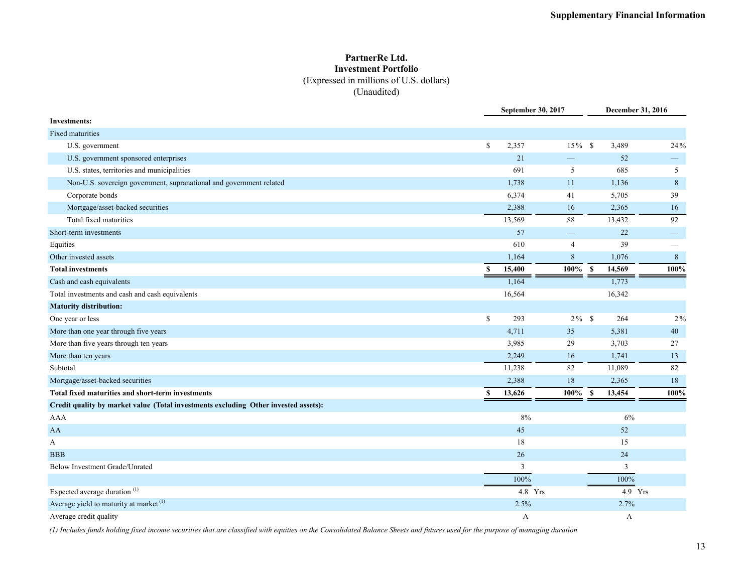#### **PartnerRe Ltd. Investment Portfolio** (Expressed in millions of U.S. dollars) (Unaudited)

|                                                                                     |              | September 30, 2017 |                          |                       | December 31, 2016 |
|-------------------------------------------------------------------------------------|--------------|--------------------|--------------------------|-----------------------|-------------------|
| <b>Investments:</b>                                                                 |              |                    |                          |                       |                   |
| Fixed maturities                                                                    |              |                    |                          |                       |                   |
| U.S. government                                                                     | \$           | 2,357              | $15\%$ \$                | 3,489                 | 24%               |
| U.S. government sponsored enterprises                                               |              | 21                 | $\overline{\phantom{0}}$ | 52                    |                   |
| U.S. states, territories and municipalities                                         |              | 691                | 5                        | 685                   | 5                 |
| Non-U.S. sovereign government, supranational and government related                 |              | 1,738              | 11                       | 1,136                 | 8                 |
| Corporate bonds                                                                     |              | 6,374              | 41                       | 5,705                 | 39                |
| Mortgage/asset-backed securities                                                    |              | 2,388              | 16                       | 2,365                 | 16                |
| Total fixed maturities                                                              |              | 13,569             | 88                       | 13,432                | 92                |
| Short-term investments                                                              |              | 57                 |                          | 22                    | $\hspace{0.05cm}$ |
| Equities                                                                            |              | 610                | $\overline{4}$           | 39                    |                   |
| Other invested assets                                                               |              | 1,164              | $8\,$                    | 1,076                 | $\,8\,$           |
| <b>Total investments</b>                                                            | $\mathbf{s}$ | 15,400             | $100\%$ \$               | 14,569                | 100%              |
| Cash and cash equivalents                                                           |              | 1,164              |                          | 1,773                 |                   |
| Total investments and cash and cash equivalents                                     |              | 16,564             |                          | 16,342                |                   |
| <b>Maturity distribution:</b>                                                       |              |                    |                          |                       |                   |
| One year or less                                                                    | $\mathbb{S}$ | 293                | $2\%$ \$                 | 264                   | $2\%$             |
| More than one year through five years                                               |              | 4,711              | 35                       | 5,381                 | 40                |
| More than five years through ten years                                              |              | 3,985              | 29                       | 3,703                 | 27                |
| More than ten years                                                                 |              | 2,249              | 16                       | 1,741                 | 13                |
| Subtotal                                                                            |              | 11,238             | 82                       | 11,089                | 82                |
| Mortgage/asset-backed securities                                                    |              | 2,388              | 18                       | 2,365                 | 18                |
| Total fixed maturities and short-term investments                                   | \$           | 13,626             | $100\%$                  | $\mathbf s$<br>13,454 | 100%              |
| Credit quality by market value (Total investments excluding Other invested assets): |              |                    |                          |                       |                   |
| <b>AAA</b>                                                                          |              | 8%                 |                          | 6%                    |                   |
| AA                                                                                  |              | 45                 |                          | 52                    |                   |
| A                                                                                   |              | 18                 |                          | 15                    |                   |
| <b>BBB</b>                                                                          |              | 26                 |                          | 24                    |                   |
| Below Investment Grade/Unrated                                                      |              | 3                  |                          | 3                     |                   |
|                                                                                     |              | 100%               |                          | 100%                  |                   |
| Expected average duration <sup>(1)</sup>                                            |              | $4.8$ Yrs          |                          |                       | $4.9$ Yrs         |
| Average yield to maturity at market <sup>(1)</sup>                                  |              | 2.5%               |                          | 2.7%                  |                   |
| Average credit quality                                                              |              | A                  |                          | А                     |                   |

*(1) Includes funds holding fixed income securities that are classified with equities on the Consolidated Balance Sheets and futures used for the purpose of managing duration*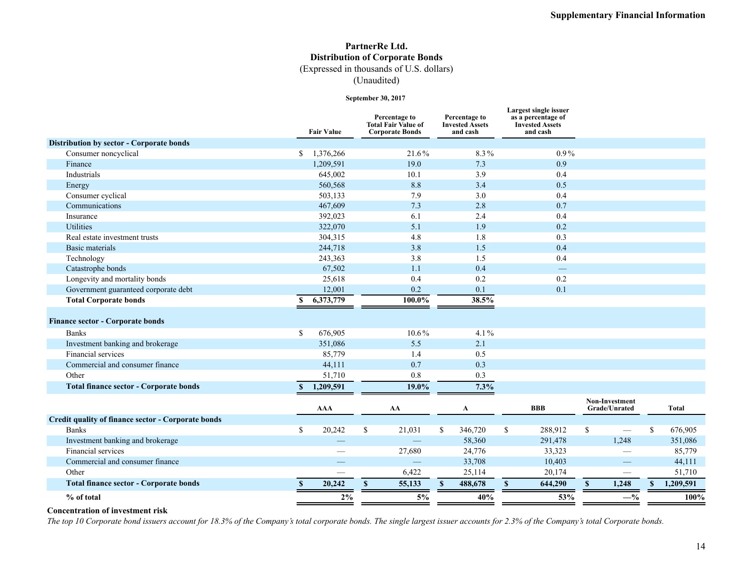#### **PartnerRe Ltd. Distribution of Corporate Bonds** (Expressed in thousands of U.S. dollars)

(Unaudited)

#### **September 30, 2017**

|                                                    |              | <b>Fair Value</b> |              | Percentage to<br><b>Total Fair Value of</b><br><b>Corporate Bonds</b> |    | Percentage to<br><b>Invested Assets</b><br>and cash |              | Largest single issuer<br>as a percentage of<br><b>Invested Assets</b><br>and cash |    |                                 |               |              |
|----------------------------------------------------|--------------|-------------------|--------------|-----------------------------------------------------------------------|----|-----------------------------------------------------|--------------|-----------------------------------------------------------------------------------|----|---------------------------------|---------------|--------------|
| <b>Distribution by sector - Corporate bonds</b>    |              |                   |              |                                                                       |    |                                                     |              |                                                                                   |    |                                 |               |              |
| Consumer noncyclical                               | S.           | 1,376,266         |              | 21.6%                                                                 |    | 8.3%                                                |              | $0.9\%$                                                                           |    |                                 |               |              |
| Finance                                            |              | 1,209,591         |              | 19.0                                                                  |    | 7.3                                                 |              | 0.9                                                                               |    |                                 |               |              |
| Industrials                                        |              | 645,002           |              | 10.1                                                                  |    | 3.9                                                 |              | 0.4                                                                               |    |                                 |               |              |
| Energy                                             |              | 560,568           |              | 8.8                                                                   |    | 3.4                                                 |              | 0.5                                                                               |    |                                 |               |              |
| Consumer cyclical                                  |              | 503,133           |              | 7.9                                                                   |    | 3.0                                                 |              | 0.4                                                                               |    |                                 |               |              |
| Communications                                     |              | 467,609           |              | 7.3                                                                   |    | 2.8                                                 |              | 0.7                                                                               |    |                                 |               |              |
| Insurance                                          |              | 392,023           |              | 6.1                                                                   |    | 2.4                                                 |              | 0.4                                                                               |    |                                 |               |              |
| <b>Utilities</b>                                   |              | 322,070           |              | 5.1                                                                   |    | 1.9                                                 |              | 0.2                                                                               |    |                                 |               |              |
| Real estate investment trusts                      |              | 304,315           |              | 4.8                                                                   |    | 1.8                                                 |              | 0.3                                                                               |    |                                 |               |              |
| <b>Basic materials</b>                             |              | 244,718           |              | 3.8                                                                   |    | 1.5                                                 |              | 0.4                                                                               |    |                                 |               |              |
| Technology                                         |              | 243,363           |              | 3.8                                                                   |    | 1.5                                                 |              | 0.4                                                                               |    |                                 |               |              |
| Catastrophe bonds                                  |              | 67,502            |              | 1.1                                                                   |    | 0.4                                                 |              |                                                                                   |    |                                 |               |              |
| Longevity and mortality bonds                      |              | 25,618            |              | 0.4                                                                   |    | 0.2                                                 |              | 0.2                                                                               |    |                                 |               |              |
| Government guaranteed corporate debt               |              | 12,001            |              | 0.2                                                                   |    | 0.1                                                 |              | 0.1                                                                               |    |                                 |               |              |
| <b>Total Corporate bonds</b>                       | S.           | 6,373,779         |              | 100.0%                                                                |    | 38.5%                                               |              |                                                                                   |    |                                 |               |              |
| <b>Finance sector - Corporate bonds</b>            |              |                   |              |                                                                       |    |                                                     |              |                                                                                   |    |                                 |               |              |
| <b>Banks</b>                                       | $\mathbf S$  | 676,905           |              | $10.6\%$                                                              |    | $4.1\%$                                             |              |                                                                                   |    |                                 |               |              |
| Investment banking and brokerage                   |              | 351,086           |              | 5.5                                                                   |    | 2.1                                                 |              |                                                                                   |    |                                 |               |              |
| Financial services                                 |              | 85,779            |              | 1.4                                                                   |    | 0.5                                                 |              |                                                                                   |    |                                 |               |              |
| Commercial and consumer finance                    |              | 44,111            |              | 0.7                                                                   |    | 0.3                                                 |              |                                                                                   |    |                                 |               |              |
| Other                                              |              | 51,710            |              | 0.8                                                                   |    | 0.3                                                 |              |                                                                                   |    |                                 |               |              |
| <b>Total finance sector - Corporate bonds</b>      | S.           | 1,209,591         |              | 19.0%                                                                 |    | 7.3%                                                |              |                                                                                   |    |                                 |               |              |
|                                                    |              | <b>AAA</b>        |              | AA                                                                    |    | A                                                   |              | <b>BBB</b>                                                                        |    | Non-Investment<br>Grade/Unrated |               | <b>Total</b> |
| Credit quality of finance sector - Corporate bonds |              |                   |              |                                                                       |    |                                                     |              |                                                                                   |    |                                 |               |              |
| <b>Banks</b>                                       | $\mathbb{S}$ | 20,242            | \$           | 21,031                                                                | \$ | 346,720                                             | $\mathbb{S}$ | 288,912                                                                           | \$ |                                 | <sup>\$</sup> | 676,905      |
| Investment banking and brokerage                   |              |                   |              |                                                                       |    | 58,360                                              |              | 291,478                                                                           |    | 1,248                           |               | 351,086      |
| Financial services                                 |              |                   |              | 27,680                                                                |    | 24,776                                              |              | 33,323                                                                            |    |                                 |               | 85,779       |
| Commercial and consumer finance                    |              |                   |              |                                                                       |    | 33,708                                              |              | 10,403                                                                            |    |                                 |               | 44,111       |
| Other                                              |              |                   |              | 6,422                                                                 |    | 25,114                                              |              | 20,174                                                                            |    | —                               |               | 51,710       |
| <b>Total finance sector - Corporate bonds</b>      | $\mathbf{s}$ | 20,242            | $\mathbf{s}$ | 55,133                                                                | S  | 488,678                                             | $\mathbf{s}$ | 644,290                                                                           | S  | 1,248                           | $\mathbf{s}$  | 1,209,591    |
| % of total                                         |              | 2%                |              | 5%                                                                    |    | 40%                                                 |              | 53%                                                                               |    | $-$ %                           |               | 100%         |
|                                                    |              |                   |              |                                                                       |    |                                                     |              |                                                                                   |    |                                 |               |              |

#### **Concentration of investment risk**

*The top 10 Corporate bond issuers account for 18.3% of the Company's total corporate bonds. The single largest issuer accounts for 2.3% of the Company's total Corporate bonds.*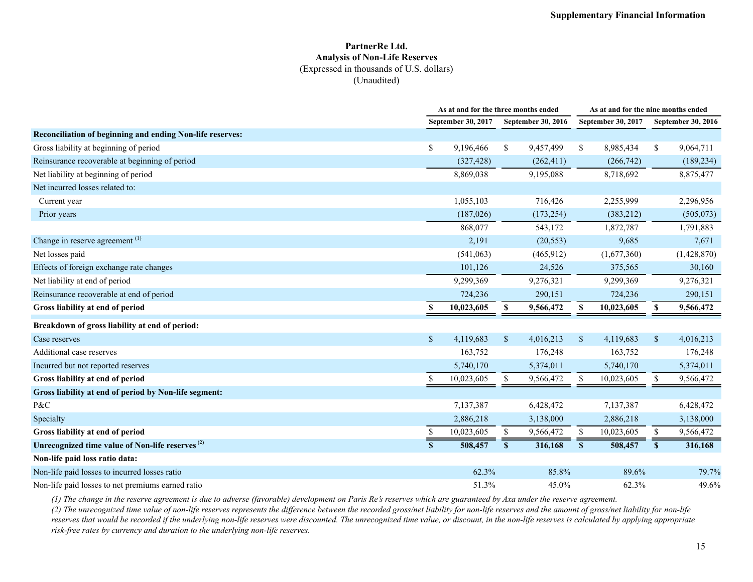#### **PartnerRe Ltd. Analysis of Non-Life Reserves** (Expressed in thousands of U.S. dollars) (Unaudited)

|                                                             |              | As at and for the three months ended |                           |            |              | As at and for the nine months ended |              |                           |  |
|-------------------------------------------------------------|--------------|--------------------------------------|---------------------------|------------|--------------|-------------------------------------|--------------|---------------------------|--|
|                                                             |              | September 30, 2017                   | <b>September 30, 2016</b> |            |              | September 30, 2017                  |              | <b>September 30, 2016</b> |  |
| Reconciliation of beginning and ending Non-life reserves:   |              |                                      |                           |            |              |                                     |              |                           |  |
| Gross liability at beginning of period                      | \$           | 9,196,466                            | \$                        | 9,457,499  | \$           | 8,985,434                           | \$           | 9,064,711                 |  |
| Reinsurance recoverable at beginning of period              |              | (327, 428)                           |                           | (262, 411) |              | (266,742)                           |              | (189, 234)                |  |
| Net liability at beginning of period                        |              | 8,869,038                            |                           | 9,195,088  |              | 8,718,692                           |              | 8,875,477                 |  |
| Net incurred losses related to:                             |              |                                      |                           |            |              |                                     |              |                           |  |
| Current year                                                |              | 1,055,103                            |                           | 716,426    |              | 2,255,999                           |              | 2,296,956                 |  |
| Prior years                                                 |              | (187,026)                            |                           | (173, 254) |              | (383,212)                           |              | (505, 073)                |  |
|                                                             |              | 868,077                              |                           | 543,172    |              | 1,872,787                           |              | 1,791,883                 |  |
| Change in reserve agreement <sup>(1)</sup>                  |              | 2,191                                |                           | (20, 553)  |              | 9,685                               |              | 7,671                     |  |
| Net losses paid                                             |              | (541,063)                            |                           | (465,912)  |              | (1,677,360)                         |              | (1,428,870)               |  |
| Effects of foreign exchange rate changes                    |              | 101,126                              |                           | 24,526     |              | 375,565                             |              | 30,160                    |  |
| Net liability at end of period                              |              | 9,299,369                            |                           | 9,276,321  |              | 9,299,369                           |              | 9,276,321                 |  |
| Reinsurance recoverable at end of period                    |              | 724,236                              |                           | 290,151    |              | 724,236                             |              | 290,151                   |  |
| Gross liability at end of period                            | S            | 10,023,605                           | \$                        | 9,566,472  | S            | 10,023,605                          | \$           | 9,566,472                 |  |
| Breakdown of gross liability at end of period:              |              |                                      |                           |            |              |                                     |              |                           |  |
| Case reserves                                               | \$           | 4,119,683                            | $\mathbb{S}$              | 4,016,213  | $\mathbb{S}$ | 4,119,683                           | $\sqrt{S}$   | 4,016,213                 |  |
| Additional case reserves                                    |              | 163,752                              |                           | 176,248    |              | 163,752                             |              | 176,248                   |  |
| Incurred but not reported reserves                          |              | 5,740,170                            |                           | 5,374,011  |              | 5,740,170                           |              | 5,374,011                 |  |
| Gross liability at end of period                            |              | 10,023,605                           | \$                        | 9,566,472  | S            | 10,023,605                          |              | 9,566,472                 |  |
| Gross liability at end of period by Non-life segment:       |              |                                      |                           |            |              |                                     |              |                           |  |
| P&C                                                         |              | 7,137,387                            |                           | 6,428,472  |              | 7,137,387                           |              | 6,428,472                 |  |
| Specialty                                                   |              | 2,886,218                            |                           | 3,138,000  |              | 2,886,218                           |              | 3,138,000                 |  |
| Gross liability at end of period                            | S            | 10,023,605                           | <sup>\$</sup>             | 9,566,472  | -S           | 10,023,605                          | S.           | 9,566,472                 |  |
| Unrecognized time value of Non-life reserves <sup>(2)</sup> | $\mathbf{s}$ | 508,457                              | S                         | 316,168    | $\mathbf{s}$ | 508,457                             | $\mathbf{s}$ | 316,168                   |  |
| Non-life paid loss ratio data:                              |              |                                      |                           |            |              |                                     |              |                           |  |
| Non-life paid losses to incurred losses ratio               |              | 62.3%                                |                           | 85.8%      |              | 89.6%                               |              | 79.7%                     |  |
| Non-life paid losses to net premiums earned ratio           |              | 51.3%                                |                           | 45.0%      |              | 62.3%                               |              | 49.6%                     |  |

*(1) The change in the reserve agreement is due to adverse (favorable) development on Paris Re's reserves which are guaranteed by Axa under the reserve agreement.*

*(2) The unrecognized time value of non-life reserves represents the difference between the recorded gross/net liability for non-life reserves and the amount of gross/net liability for non-life*  reserves that would be recorded if the underlying non-life reserves were discounted. The unrecognized time value, or discount, in the non-life reserves is calculated by applying appropriate *risk-free rates by currency and duration to the underlying non-life reserves.*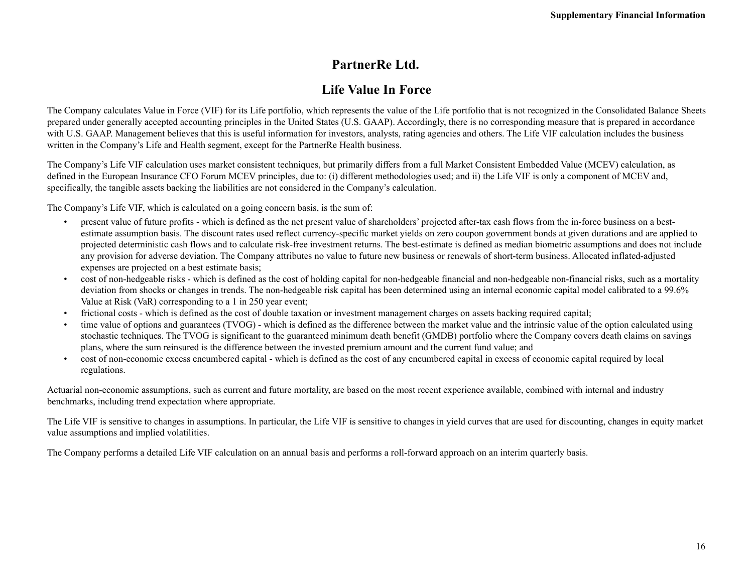## **PartnerRe Ltd.**

## **Life Value In Force**

The Company calculates Value in Force (VIF) for its Life portfolio, which represents the value of the Life portfolio that is not recognized in the Consolidated Balance Sheets prepared under generally accepted accounting principles in the United States (U.S. GAAP). Accordingly, there is no corresponding measure that is prepared in accordance with U.S. GAAP. Management believes that this is useful information for investors, analysts, rating agencies and others. The Life VIF calculation includes the business written in the Company's Life and Health segment, except for the PartnerRe Health business.

The Company's Life VIF calculation uses market consistent techniques, but primarily differs from a full Market Consistent Embedded Value (MCEV) calculation, as defined in the European Insurance CFO Forum MCEV principles, due to: (i) different methodologies used; and ii) the Life VIF is only a component of MCEV and, specifically, the tangible assets backing the liabilities are not considered in the Company's calculation.

The Company's Life VIF, which is calculated on a going concern basis, is the sum of:

- present value of future profits which is defined as the net present value of shareholders' projected after-tax cash flows from the in-force business on a bestestimate assumption basis. The discount rates used reflect currency-specific market yields on zero coupon government bonds at given durations and are applied to projected deterministic cash flows and to calculate risk-free investment returns. The best-estimate is defined as median biometric assumptions and does not include any provision for adverse deviation. The Company attributes no value to future new business or renewals of short-term business. Allocated inflated-adjusted expenses are projected on a best estimate basis;
- cost of non-hedgeable risks which is defined as the cost of holding capital for non-hedgeable financial and non-hedgeable non-financial risks, such as a mortality deviation from shocks or changes in trends. The non-hedgeable risk capital has been determined using an internal economic capital model calibrated to a 99.6% Value at Risk (VaR) corresponding to a 1 in 250 year event;
- frictional costs which is defined as the cost of double taxation or investment management charges on assets backing required capital;
- time value of options and guarantees (TVOG) which is defined as the difference between the market value and the intrinsic value of the option calculated using stochastic techniques. The TVOG is significant to the guaranteed minimum death benefit (GMDB) portfolio where the Company covers death claims on savings plans, where the sum reinsured is the difference between the invested premium amount and the current fund value; and
- cost of non-economic excess encumbered capital which is defined as the cost of any encumbered capital in excess of economic capital required by local regulations.

Actuarial non-economic assumptions, such as current and future mortality, are based on the most recent experience available, combined with internal and industry benchmarks, including trend expectation where appropriate.

The Life VIF is sensitive to changes in assumptions. In particular, the Life VIF is sensitive to changes in yield curves that are used for discounting, changes in equity market value assumptions and implied volatilities.

The Company performs a detailed Life VIF calculation on an annual basis and performs a roll-forward approach on an interim quarterly basis.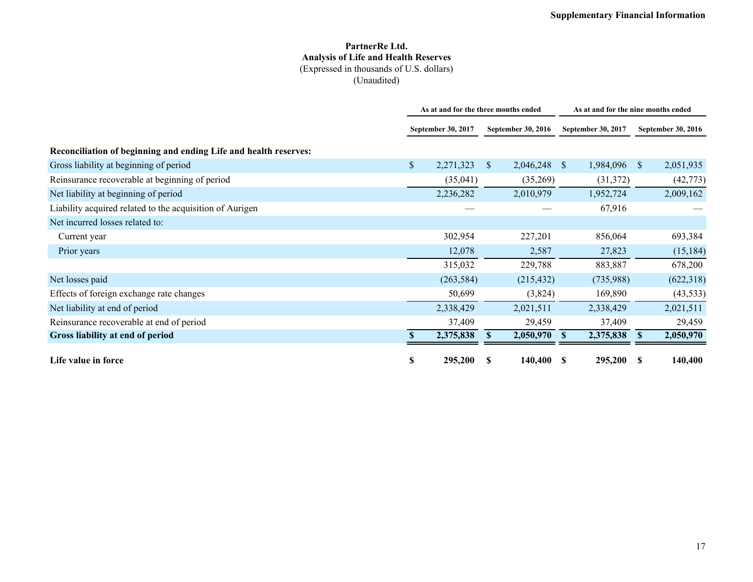#### **PartnerRe Ltd. Analysis of Life and Health Reserves** (Expressed in thousands of U.S. dollars) (Unaudited)

|                                                                  | As at and for the three months ended |            |                           | As at and for the nine months ended |                    |           |                           |            |
|------------------------------------------------------------------|--------------------------------------|------------|---------------------------|-------------------------------------|--------------------|-----------|---------------------------|------------|
|                                                                  | <b>September 30, 2017</b>            |            | <b>September 30, 2016</b> |                                     | September 30, 2017 |           | <b>September 30, 2016</b> |            |
| Reconciliation of beginning and ending Life and health reserves: |                                      |            |                           |                                     |                    |           |                           |            |
| Gross liability at beginning of period                           | $\mathbb{S}$                         | 2,271,323  | <sup>\$</sup>             | 2,046,248 \$                        |                    | 1,984,096 | <sup>S</sup>              | 2,051,935  |
| Reinsurance recoverable at beginning of period                   |                                      | (35, 041)  |                           | (35,269)                            |                    | (31, 372) |                           | (42, 773)  |
| Net liability at beginning of period                             |                                      | 2,236,282  |                           | 2,010,979                           |                    | 1,952,724 |                           | 2,009,162  |
| Liability acquired related to the acquisition of Aurigen         |                                      |            |                           |                                     |                    | 67,916    |                           |            |
| Net incurred losses related to:                                  |                                      |            |                           |                                     |                    |           |                           |            |
| Current year                                                     |                                      | 302,954    |                           | 227,201                             |                    | 856,064   |                           | 693,384    |
| Prior years                                                      |                                      | 12,078     |                           | 2,587                               |                    | 27,823    |                           | (15, 184)  |
|                                                                  |                                      | 315,032    |                           | 229,788                             |                    | 883,887   |                           | 678,200    |
| Net losses paid                                                  |                                      | (263, 584) |                           | (215, 432)                          |                    | (735,988) |                           | (622, 318) |
| Effects of foreign exchange rate changes                         |                                      | 50,699     |                           | (3,824)                             |                    | 169,890   |                           | (43, 533)  |
| Net liability at end of period                                   |                                      | 2,338,429  |                           | 2,021,511                           |                    | 2,338,429 |                           | 2,021,511  |
| Reinsurance recoverable at end of period                         |                                      | 37,409     |                           | 29,459                              |                    | 37,409    |                           | 29,459     |
| Gross liability at end of period                                 |                                      | 2,375,838  | S                         | 2,050,970                           | <sup>\$</sup>      | 2,375,838 | <sup>\$</sup>             | 2,050,970  |
| Life value in force                                              | S                                    | 295,200    | S                         | 140,400                             | - \$               | 295,200   | S                         | 140,400    |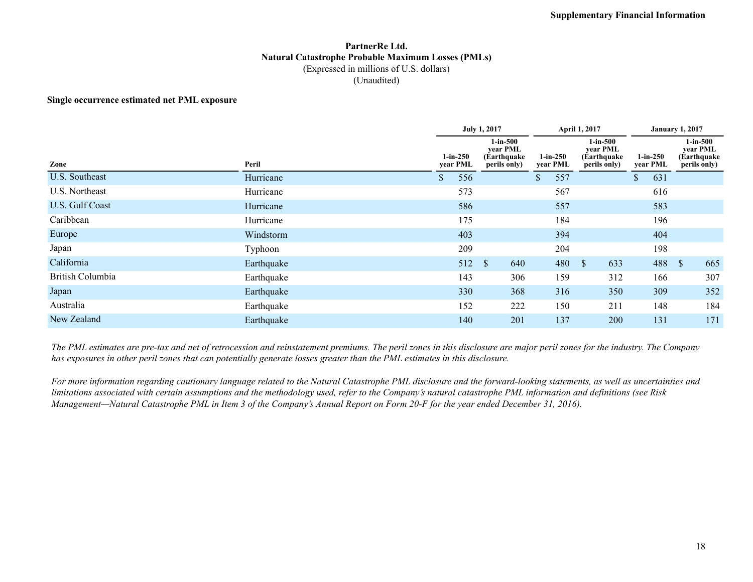#### **PartnerRe Ltd. Natural Catastrophe Probable Maximum Losses (PMLs)** (Expressed in millions of U.S. dollars) (Unaudited)

#### **Single occurrence estimated net PML exposure**

|                  |            |            | <b>July 1, 2017</b>                                                    |           | April 1, 2017                                          | <b>January 1, 2017</b> |                                                           |  |
|------------------|------------|------------|------------------------------------------------------------------------|-----------|--------------------------------------------------------|------------------------|-----------------------------------------------------------|--|
| Zone             | Peril      | $1-in-250$ | $1$ -in- $500$<br>year PML<br>(Earthquake)<br>year PML<br>perils only) |           | $1-in-500$<br>year PML<br>(Earthquake)<br>perils only) | $1-in-250$<br>year PML | $1$ -in- $500$<br>year PML<br>(Earthquake<br>perils only) |  |
| U.S. Southeast   | Hurricane  | 556<br>\$  |                                                                        | 557<br>\$ |                                                        | \$<br>631              |                                                           |  |
| U.S. Northeast   | Hurricane  | 573        |                                                                        | 567       |                                                        | 616                    |                                                           |  |
| U.S. Gulf Coast  | Hurricane  | 586        |                                                                        | 557       |                                                        | 583                    |                                                           |  |
| Caribbean        | Hurricane  | 175        |                                                                        | 184       |                                                        | 196                    |                                                           |  |
| Europe           | Windstorm  | 403        |                                                                        | 394       |                                                        | 404                    |                                                           |  |
| Japan            | Typhoon    | 209        |                                                                        | 204       |                                                        | 198                    |                                                           |  |
| California       | Earthquake | 512        | $\mathcal{S}$<br>640                                                   | 480       | $\mathbb{S}$<br>633                                    | 488 \$                 | 665                                                       |  |
| British Columbia | Earthquake | 143        | 306                                                                    | 159       | 312                                                    | 166                    | 307                                                       |  |
| Japan            | Earthquake | 330        | 368                                                                    | 316       | 350                                                    | 309                    | 352                                                       |  |
| Australia        | Earthquake | 152        | 222                                                                    | 150       | 211                                                    | 148                    | 184                                                       |  |
| New Zealand      | Earthquake | 140        | 201                                                                    | 137       | 200                                                    | 131                    | 171                                                       |  |

*The PML estimates are pre-tax and net of retrocession and reinstatement premiums. The peril zones in this disclosure are major peril zones for the industry. The Company has exposures in other peril zones that can potentially generate losses greater than the PML estimates in this disclosure.*

*For more information regarding cautionary language related to the Natural Catastrophe PML disclosure and the forward-looking statements, as well as uncertainties and limitations associated with certain assumptions and the methodology used, refer to the Company's natural catastrophe PML information and definitions (see Risk Management—Natural Catastrophe PML in Item 3 of the Company's Annual Report on Form 20-F for the year ended December 31, 2016).*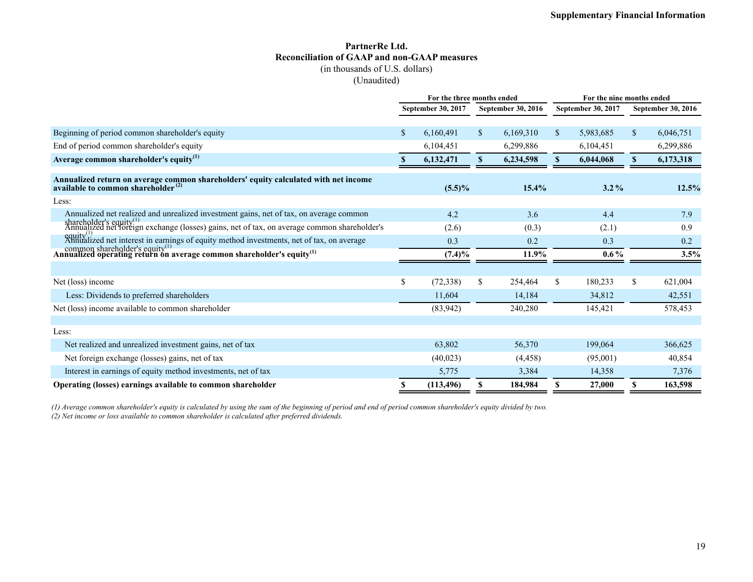## **PartnerRe Ltd. Reconciliation of GAAP and non-GAAP measures**

(in thousands of U.S. dollars)

(Unaudited)

|                                                                                                                                    | For the three months ended               |            |             |                    |              |                           | For the nine months ended |           |  |  |
|------------------------------------------------------------------------------------------------------------------------------------|------------------------------------------|------------|-------------|--------------------|--------------|---------------------------|---------------------------|-----------|--|--|
|                                                                                                                                    | September 30, 2017<br>September 30, 2016 |            |             | September 30, 2017 |              | <b>September 30, 2016</b> |                           |           |  |  |
|                                                                                                                                    |                                          |            |             |                    |              |                           |                           |           |  |  |
| Beginning of period common shareholder's equity                                                                                    | $\mathbb{S}$                             | 6,160,491  | $\mathbf S$ | 6,169,310          | $\mathbb{S}$ | 5,983,685                 | \$                        | 6,046,751 |  |  |
| End of period common shareholder's equity                                                                                          |                                          | 6,104,451  |             | 6,299,886          |              | 6,104,451                 |                           | 6,299,886 |  |  |
| Average common shareholder's equity $^{(1)}$                                                                                       | S.                                       | 6,132,471  | S.          | 6,234,598          | S.           | 6,044,068                 | S.                        | 6,173,318 |  |  |
| Annualized return on average common shareholders' equity calculated with net income available to common shareholder $^{(2)}$       |                                          | $(5.5)\%$  |             | 15.4%              |              | $3.2\%$                   |                           | 12.5%     |  |  |
| Less:                                                                                                                              |                                          |            |             |                    |              |                           |                           |           |  |  |
| Annualized net realized and unrealized investment gains, net of tax, on average common                                             |                                          | 4.2        |             | 3.6                |              | 4.4                       |                           | 7.9       |  |  |
| shareholder's equity <sup>(1)</sup><br>Annualized net foreign exchange (losses) gains, net of tax, on average common shareholder's |                                          | (2.6)      |             | (0.3)              |              | (2.1)                     |                           | 0.9       |  |  |
| equity <sup>(1)</sup><br>Annualized net interest in earnings of equity method investments, net of tax, on average                  |                                          | 0.3        |             | 0.2                |              | 0.3                       |                           | 0.2       |  |  |
| common shareholder's equity <sup>(1)</sup><br>Annualized operating return on average common shareholder's equity <sup>(1)</sup>    |                                          | $(7.4)\%$  |             | 11.9%              | $0.6\%$      |                           | 3.5%                      |           |  |  |
|                                                                                                                                    |                                          |            |             |                    |              |                           |                           |           |  |  |
| Net (loss) income                                                                                                                  | \$                                       | (72, 338)  | \$          | 254,464            | \$           | 180,233                   | \$                        | 621,004   |  |  |
| Less: Dividends to preferred shareholders                                                                                          |                                          | 11,604     |             | 14,184             |              | 34,812                    |                           | 42,551    |  |  |
| Net (loss) income available to common shareholder                                                                                  |                                          | (83, 942)  |             | 240,280            |              | 145,421                   |                           | 578,453   |  |  |
|                                                                                                                                    |                                          |            |             |                    |              |                           |                           |           |  |  |
| Less:                                                                                                                              |                                          |            |             |                    |              |                           |                           |           |  |  |
| Net realized and unrealized investment gains, net of tax                                                                           |                                          | 63,802     |             | 56,370             |              | 199,064                   |                           | 366,625   |  |  |
| Net foreign exchange (losses) gains, net of tax                                                                                    |                                          | (40, 023)  |             | (4, 458)           |              | (95,001)                  |                           | 40,854    |  |  |
| Interest in earnings of equity method investments, net of tax                                                                      |                                          | 5,775      |             | 3,384              |              | 14,358                    |                           | 7,376     |  |  |
| Operating (losses) earnings available to common shareholder                                                                        | S                                        | (113, 496) | \$          | 184,984            | \$           | 27,000                    | \$                        | 163,598   |  |  |

*(1) Average common shareholder's equity is calculated by using the sum of the beginning of period and end of period common shareholder's equity divided by two. (2) Net income or loss available to common shareholder is calculated after preferred dividends.*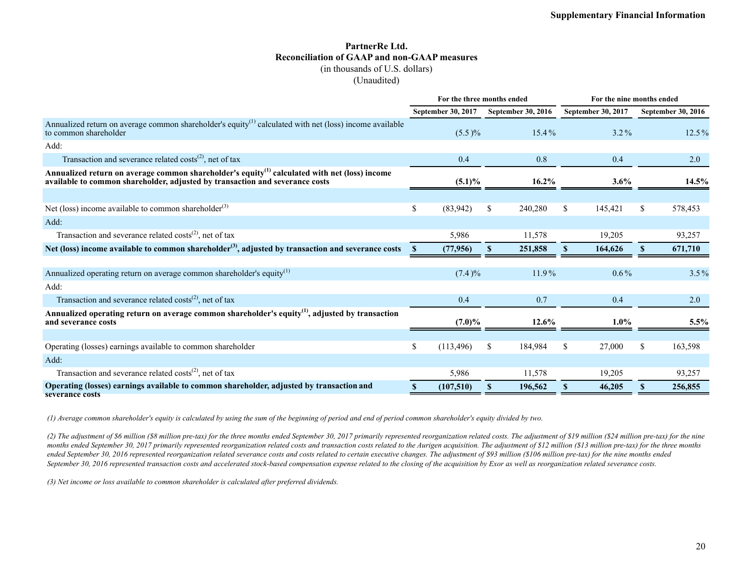#### **PartnerRe Ltd. Reconciliation of GAAP and non-GAAP measures** (in thousands of U.S. dollars)

(Unaudited)

|                                                                                                                                                                                           | For the three months ended |  |                           |          |                           | For the nine months ended |   |                           |  |
|-------------------------------------------------------------------------------------------------------------------------------------------------------------------------------------------|----------------------------|--|---------------------------|----------|---------------------------|---------------------------|---|---------------------------|--|
|                                                                                                                                                                                           | September 30, 2017         |  | <b>September 30, 2016</b> |          | <b>September 30, 2017</b> |                           |   | <b>September 30, 2016</b> |  |
| Annualized return on average common shareholder's equity <sup>(1)</sup> calculated with net (loss) income available<br>to common shareholder                                              | $(5.5)\%$                  |  |                           | $15.4\%$ |                           | $3.2\%$                   |   | $12.5\%$                  |  |
| Add:                                                                                                                                                                                      |                            |  |                           |          |                           |                           |   |                           |  |
| Transaction and severance related costs <sup>(2)</sup> , net of tax                                                                                                                       | 0.4                        |  |                           | 0.8      |                           | 0.4                       |   | 2.0                       |  |
| Annualized return on average common shareholder's equity <sup>(1)</sup> calculated with net (loss) income<br>available to common shareholder, adjusted by transaction and severance costs | $(5.1)\%$                  |  |                           | 16.2%    |                           | $3.6\%$                   |   | 14.5%                     |  |
|                                                                                                                                                                                           |                            |  |                           |          |                           |                           |   |                           |  |
| Net (loss) income available to common shareholder <sup>(3)</sup>                                                                                                                          | \$<br>(83,942)             |  | \$                        | 240,280  | \$                        | 145,421                   | S | 578,453                   |  |
| Add:                                                                                                                                                                                      |                            |  |                           |          |                           |                           |   |                           |  |
| Transaction and severance related $costs^{(2)}$ , net of tax                                                                                                                              | 5,986                      |  |                           | 11,578   |                           | 19,205                    |   | 93,257                    |  |
| Net (loss) income available to common shareholder <sup>(3)</sup> , adjusted by transaction and severance costs                                                                            | (77, 956)<br>-S            |  | <sup>S</sup>              | 251,858  | <b>S</b>                  | 164,626                   | S | 671,710                   |  |
|                                                                                                                                                                                           |                            |  |                           |          |                           |                           |   |                           |  |
| Annualized operating return on average common shareholder's equity <sup>(1)</sup>                                                                                                         | (7.4)%                     |  |                           | $11.9\%$ |                           | $0.6\%$                   |   | $3.5\%$                   |  |
| Add:                                                                                                                                                                                      |                            |  |                           |          |                           |                           |   |                           |  |
| Transaction and severance related costs <sup>(2)</sup> , net of tax                                                                                                                       | 0.4                        |  |                           | 0.7      |                           | 0.4                       |   | 2.0                       |  |
| Annualized operating return on average common shareholder's equity <sup>(1)</sup> , adjusted by transaction<br>and severance costs                                                        | $(7.0)\%$                  |  |                           | 12.6%    |                           | $1.0\%$                   |   | $5.5\%$                   |  |
|                                                                                                                                                                                           |                            |  |                           |          |                           |                           |   |                           |  |
| Operating (losses) earnings available to common shareholder                                                                                                                               | \$<br>(113, 496)           |  | \$                        | 184,984  | S                         | 27,000                    | S | 163,598                   |  |
| Add:                                                                                                                                                                                      |                            |  |                           |          |                           |                           |   |                           |  |
| Transaction and severance related costs <sup>(2)</sup> , net of tax                                                                                                                       | 5,986                      |  |                           | 11,578   |                           | 19,205                    |   | 93,257                    |  |
| Operating (losses) earnings available to common shareholder, adjusted by transaction and<br>severance costs                                                                               | (107,510)                  |  | \$                        | 196,562  | <b>S</b>                  | 46,205                    | S | 256,855                   |  |

*(1) Average common shareholder's equity is calculated by using the sum of the beginning of period and end of period common shareholder's equity divided by two.*

*(2) The adjustment of \$6 million (\$8 million pre-tax) for the three months ended September 30, 2017 primarily represented reorganization related costs. The adjustment of \$19 million (\$24 million pre-tax) for the nine*  months ended September 30, 2017 primarily represented reorganization related costs and transaction costs related to the Aurigen acquisition. The adjustment of \$12 million (\$13 million pre-tax) for the three months ended September 30, 2016 represented reorganization related severance costs and costs related to certain executive changes. The adjustment of \$93 million (\$106 million pre-tax) for the nine months ended *September 30, 2016 represented transaction costs and accelerated stock-based compensation expense related to the closing of the acquisition by Exor as well as reorganization related severance costs.* 

*(3) Net income or loss available to common shareholder is calculated after preferred dividends.*